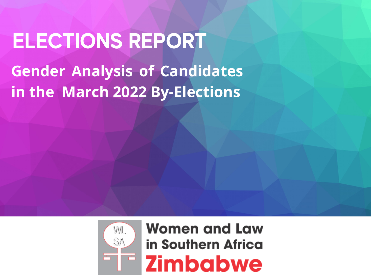# **Gender Analysis of Candidates in the March 2022 By-Elections ELECTIONS REPORT**



**Women and Law** in Southern Africa **Zimbabwe**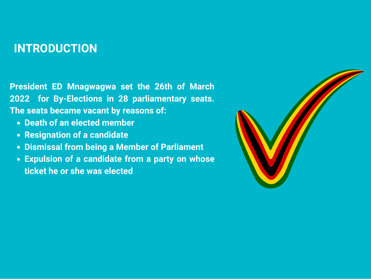### **INTRODUCTION**

**President ED Mnagwagwa set the 26th of March 2022 for By-Elections in 28 parliamentary seats. The seats became vacant by reasons of:** 

- **Death of an elected member**
- **Resignation of a candidate**
- **Dismissal from being a Member of Parliament**
- **Expulsion of a candidate from a party on whose ticket he or she was elected**

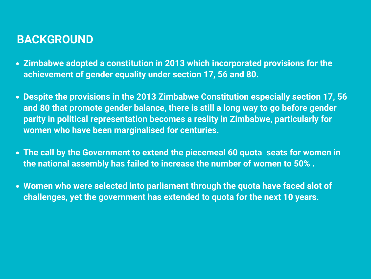### **BACKGROUND**

- **Zimbabwe adopted a constitution in 2013 which incorporated provisions for the achievement of gender equality under section 17, 56 and 80.**
- **Despite the provisions in the 2013 Zimbabwe Constitution especially section 17, 56 and 80 that promote gender balance, there is still a long way to go before gender parity in political representation becomes a reality in Zimbabwe, particularly for women who have been marginalised for centuries.**
- **The call by the Government to extend the piecemeal 60 quota seats for women in the national assembly has failed to increase the number of women to 50% .**
- **Women who were selected into parliament through the quota have faced alot of challenges, yet the government has extended to quota for the next 10 years.**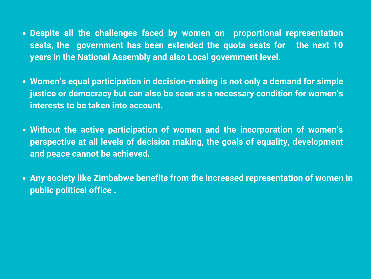- **Despite all the challenges faced by women on proportional representation seats, the government has been extended the quota seats for the next 10 years in the National Assembly and also Local government level.**
- **Women's equal participation in decision-making is not only a demand for simple justice or democracy but can also be seen as a necessary condition for women's interests to be taken into account.**
- **Without the active participation of women and the incorporation of women's perspective at all levels of decision making, the goals of equality, development and peace cannot be achieved.**
- **Any society like Zimbabwe benefits from the increased representation of women in public political office .**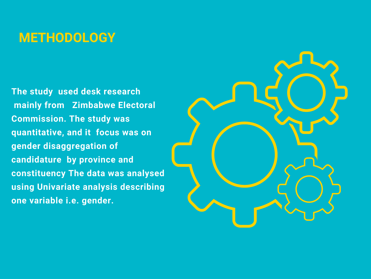# **METHODOLOGY**

**The study used desk research mainly from Zimbabwe Electoral Commission. The study was quantitative, and it focus was on gender disaggregation of candidature by province and constituency The data was analysed using Univariate analysis describing one variable i.e. gender.**

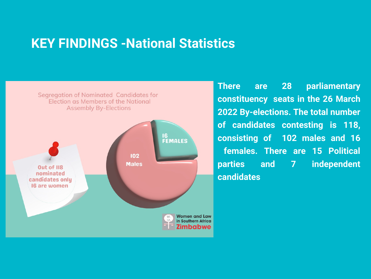### **KEY FINDINGS -National Statistics**



**There are 28 parliamentary constituency seats in the 26 March 2022 By-elections. The total number of candidates contesting is 118, consisting of 102 males and 16 females. There are 15 Political parties and 7 independent candidates**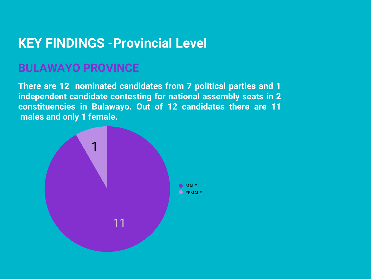# **KEY FINDINGS -Provincial Level**

### **BULAWAYO PROVINCE**

**There are 12 nominated candidates from 7 political parties and 1 independent candidate contesting for national assembly seats in 2 constituencies in Bulawayo. Out of 12 candidates there are 11 males and only 1 female.**

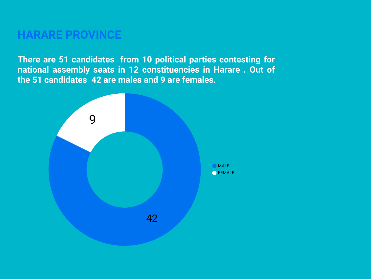### **HARARE PROVINCE**

**There are 51 candidates from 10 political parties contesting for national assembly seats in 12 constituencies in Harare . Out of the 51 candidates 42 are males and 9 are females.**

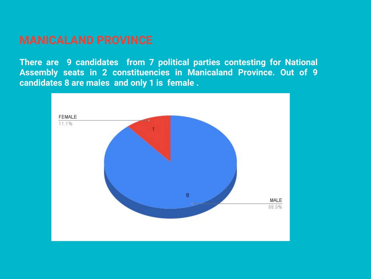**There are 9 candidates from 7 political parties contesting for National Assembly seats in 2 constituencies in Manicaland Province. Out of 9 candidates 8 are males and only 1 is female .**

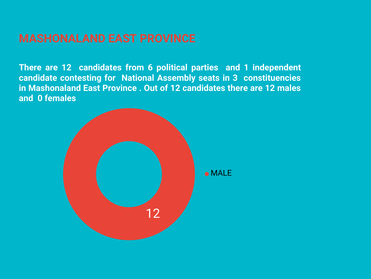**There are 12 candidates from 6 political parties and 1 independent candidate contesting for National Assembly seats in 3 constituencies in Mashonaland East Province . Out of 12 candidates there are 12 males and 0 females**

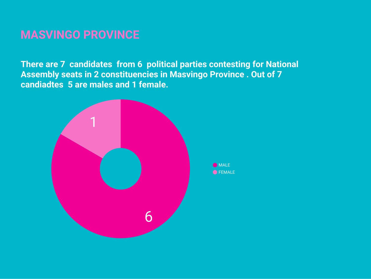### **MASVINGO PROVINCE**

**There are 7 candidates from 6 political parties contesting for National Assembly seats in 2 constituencies in Masvingo Province . Out of 7 candiadtes 5 are males and 1 female.**



**O** MALE **O**FEMALE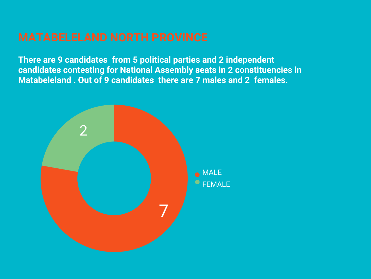**There are 9 candidates from 5 political parties and 2 independent candidates contesting for National Assembly seats in 2 constituencies in Matabeleland . Out of 9 candidates there are 7 males and 2 females.**

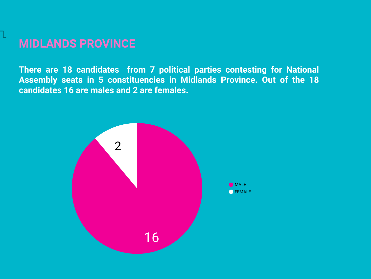### **MIDLANDS PROVINCE**

**There are 18 candidates from 7 political parties contesting for National Assembly seats in 5 constituencies in Midlands Province. Out of the 18 candidates 16 are males and 2 are females.**

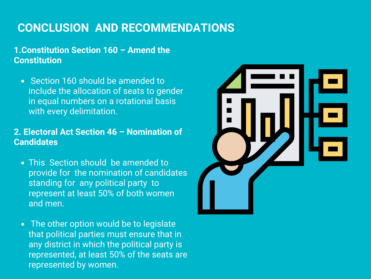### **CONCLUSION AND RECOMMENDATIONS**

### **1.Constitution Section 160 – Amend the Constitution**

• Section 160 should be amended to include the allocation of seats to gender in equal numbers on a rotational basis with every delimitation.

### **2. Electoral Act Section 46 – Nomination of Candidates**

- **This Section should be amended to** provide for the nomination of candidates standing for any political party to represent at least 50% of both women and men.
- The other option would be to legislate that political parties must ensure that in any district in which the political party is represented, at least 50% of the seats are represented by women.